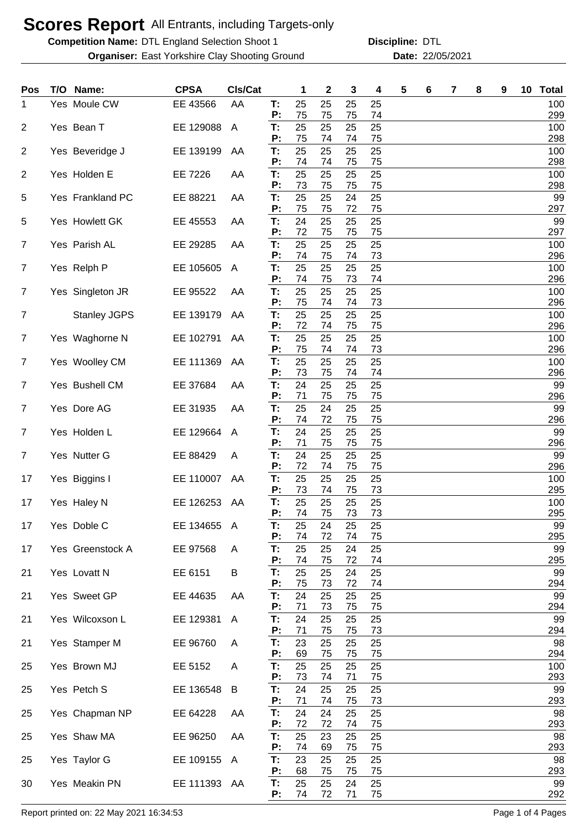**Competition Name: DTL England Selection Shoot 1 Competition Construction Shoot 1** Discipline: DTL

**Organiser:** East Yorkshire Clay Shooting Ground **22001 Date: 22/05/2021** 

**Discipline:**

| Pos            | T/O Name:           | <b>CPSA</b>  | CIs/Cat |          | 1        | 2        | 3        | 4        | 5 | 6 | 7 | 8 | 9 | 10 | <b>Total</b> |
|----------------|---------------------|--------------|---------|----------|----------|----------|----------|----------|---|---|---|---|---|----|--------------|
| 1              | Yes Moule CW        | EE 43566     | AA      | Т:<br>P: | 25<br>75 | 25<br>75 | 25<br>75 | 25<br>74 |   |   |   |   |   |    | 100<br>299   |
| 2              | Yes Bean T          | EE 129088    | A       | T:<br>P: | 25<br>75 | 25<br>74 | 25<br>74 | 25<br>75 |   |   |   |   |   |    | 100<br>298   |
| $\overline{2}$ | Yes Beveridge J     | EE 139199    | AA      | T:<br>P: | 25<br>74 | 25<br>74 | 25<br>75 | 25<br>75 |   |   |   |   |   |    | 100<br>298   |
| 2              | Yes Holden E        | EE 7226      | ΑA      | T:<br>P: | 25<br>73 | 25<br>75 | 25<br>75 | 25<br>75 |   |   |   |   |   |    | 100<br>298   |
| 5              | Yes Frankland PC    | EE 88221     | AA      | T:<br>Р: | 25<br>75 | 25<br>75 | 24<br>72 | 25<br>75 |   |   |   |   |   |    | 99<br>297    |
| 5              | Yes Howlett GK      | EE 45553     | AA      | T:<br>Р: | 24<br>72 | 25<br>75 | 25<br>75 | 25<br>75 |   |   |   |   |   |    | 99<br>297    |
| 7              | Yes Parish AL       | EE 29285     | AA      | Т:<br>P: | 25<br>74 | 25<br>75 | 25<br>74 | 25<br>73 |   |   |   |   |   |    | 100<br>296   |
| 7              | Yes Relph P         | EE 105605    | A       | T:<br>P: | 25<br>74 | 25<br>75 | 25<br>73 | 25<br>74 |   |   |   |   |   |    | 100<br>296   |
| 7              | Yes Singleton JR    | EE 95522     | AA      | Т:<br>P: | 25<br>75 | 25<br>74 | 25<br>74 | 25<br>73 |   |   |   |   |   |    | 100<br>296   |
| 7              | <b>Stanley JGPS</b> | EE 139179    | AA      | Т:<br>P: | 25<br>72 | 25<br>74 | 25<br>75 | 25<br>75 |   |   |   |   |   |    | 100<br>296   |
| 7              | Yes Waghorne N      | EE 102791    | AA      | Т:<br>P: | 25<br>75 | 25<br>74 | 25<br>74 | 25<br>73 |   |   |   |   |   |    | 100<br>296   |
| 7              | Yes Woolley CM      | EE 111369    | AA      | Т:<br>P: | 25<br>73 | 25<br>75 | 25<br>74 | 25<br>74 |   |   |   |   |   |    | 100<br>296   |
| 7              | Yes Bushell CM      | EE 37684     | AA      | Т:<br>P: | 24<br>71 | 25<br>75 | 25<br>75 | 25<br>75 |   |   |   |   |   |    | 99<br>296    |
| 7              | Yes Dore AG         | EE 31935     | AA      | T:<br>P: | 25<br>74 | 24<br>72 | 25<br>75 | 25<br>75 |   |   |   |   |   |    | 99<br>296    |
| 7              | Yes Holden L        | EE 129664    | A       | T:<br>P: | 24<br>71 | 25       | 25       | 25       |   |   |   |   |   |    | 99           |
| 7              | Yes Nutter G        | EE 88429     | A       | T:       | 24       | 75<br>25 | 75<br>25 | 75<br>25 |   |   |   |   |   |    | 296<br>99    |
| 17             | Yes Biggins I       | EE 110007    | AA      | P:<br>T: | 72<br>25 | 74<br>25 | 75<br>25 | 75<br>25 |   |   |   |   |   |    | 296<br>100   |
| 17             | Yes Haley N         | EE 126253    | AA      | Р:<br>T: | 73<br>25 | 74<br>25 | 75<br>25 | 73<br>25 |   |   |   |   |   |    | 295<br>100   |
| 17             | Yes Doble C         | EE 134655    | - A     | Р:<br>T: | 74<br>25 | 75<br>24 | 73<br>25 | 73<br>25 |   |   |   |   |   |    | 295<br>99    |
| 17             | Yes Greenstock A    | EE 97568     | A       | Ρ.<br>T: | 74<br>25 | 72<br>25 | 74<br>24 | 75<br>25 |   |   |   |   |   |    | 295<br>99    |
| 21             | Yes Lovatt N        | EE 6151      | B       | Ρ.<br>T: | 74<br>25 | 75<br>25 | 72<br>24 | 74<br>25 |   |   |   |   |   |    | 295<br>99    |
| 21             | Yes Sweet GP        | EE 44635     | AA      | P:<br>T: | 75<br>24 | 73<br>25 | 72<br>25 | 74<br>25 |   |   |   |   |   |    | 294<br>99    |
| 21             | Yes Wilcoxson L     | EE 129381    | A       | P:<br>T: | 71<br>24 | 73<br>25 | 75<br>25 | 75<br>25 |   |   |   |   |   |    | 294<br>99    |
| 21             | Yes Stamper M       | EE 96760     | A       | P:<br>T: | 71<br>23 | 75<br>25 | 75<br>25 | 73<br>25 |   |   |   |   |   |    | 294<br>98    |
| 25             | Yes Brown MJ        | EE 5152      | A       | P:<br>T: | 69<br>25 | 75<br>25 | 75<br>25 | 75<br>25 |   |   |   |   |   |    | 294<br>100   |
| 25             | Yes Petch S         | EE 136548    | B       | P:<br>Т: | 73<br>24 | 74<br>25 | 71<br>25 | 75<br>25 |   |   |   |   |   |    | 293<br>99    |
| 25             | Yes Chapman NP      | EE 64228     | AA      | P:<br>T: | 71<br>24 | 74<br>24 | 75<br>25 | 73<br>25 |   |   |   |   |   |    | 293<br>98    |
| 25             | Yes Shaw MA         | EE 96250     | AA      | P:<br>T: | 72<br>25 | 72<br>23 | 74<br>25 | 75<br>25 |   |   |   |   |   |    | 293<br>98    |
| 25             | Yes Taylor G        | EE 109155    | A       | P:<br>T: | 74<br>23 | 69<br>25 | 75<br>25 | 75<br>25 |   |   |   |   |   |    | 293<br>98    |
| 30             | Yes Meakin PN       | EE 111393 AA |         | Ρ.<br>T: | 68<br>25 | 75<br>25 | 75<br>24 | 75<br>25 |   |   |   |   |   |    | 293<br>99    |
|                |                     |              |         | P:       | 74       | 72       | 71       | 75       |   |   |   |   |   |    | 292          |

Report printed on: 22 May 2021 16:34:53 Page 1 of 4 Pages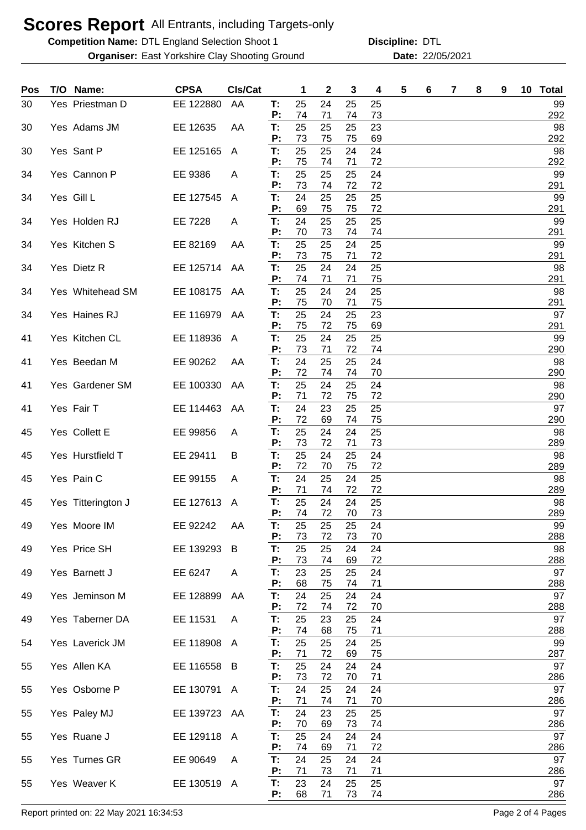**Competition Name: DTL England Selection Shoot 1 Competition Construction Shoot 1** Discipline: DTL

**Organiser:** East Yorkshire Clay Shooting Ground **22001 Date: 22/05/2021** 

**Discipline:**

| Pos | T/O Name:          | <b>CPSA</b>  | CIs/Cat        |          | 1              | 2              | 3              | 4              | 5 | 6 | 7 | 8 | 9 | 10 Total         |
|-----|--------------------|--------------|----------------|----------|----------------|----------------|----------------|----------------|---|---|---|---|---|------------------|
| 30  | Yes Priestman D    | EE 122880    | AA             | T:<br>Ρ: | 25<br>74       | 24<br>71       | 25<br>74       | 25<br>73       |   |   |   |   |   | 99<br>292        |
| 30  | Yes Adams JM       | EE 12635     | AA             | Т:       | 25             | 25             | 25             | 23             |   |   |   |   |   | 98               |
| 30  | Yes Sant P         | EE 125165    | $\overline{A}$ | P:<br>T: | 73<br>25       | 75<br>25       | 75<br>24       | 69<br>24       |   |   |   |   |   | 292<br>98        |
|     |                    |              |                | P:       | 75             | 74             | 71             | 72             |   |   |   |   |   | 292              |
| 34  | Yes Cannon P       | EE 9386      | Α              | Т:<br>P: | 25<br>73       | 25<br>74       | 25<br>72       | 24<br>72       |   |   |   |   |   | 99<br>291        |
| 34  | Yes Gill L         | EE 127545    | A              | T:<br>Ρ: | 24<br>69       | 25<br>75       | 25<br>75       | 25<br>72       |   |   |   |   |   | 99<br>291        |
| 34  | Yes Holden RJ      | EE 7228      | A              | T:<br>P: | 24<br>70       | 25<br>73       | 25<br>74       | 25<br>74       |   |   |   |   |   | 99<br>291        |
| 34  | Yes Kitchen S      | EE 82169     | AA             | T:<br>Ρ. | 25<br>73       | 25<br>75       | 24<br>71       | 25<br>72       |   |   |   |   |   | 99<br>291        |
| 34  | Yes Dietz R        | EE 125714    | AA             | T:<br>Ρ. | 25<br>74       | 24<br>71       | 24<br>71       | 25<br>75       |   |   |   |   |   | 98<br>291        |
| 34  | Yes Whitehead SM   | EE 108175    | AA             | T:<br>Р: | 25<br>75       | 24<br>70       | 24<br>71       | 25<br>75       |   |   |   |   |   | 98<br>291        |
| 34  | Yes Haines RJ      | EE 116979    | AA             | Т:       | 25<br>75       | 24<br>72       | 25             | 23             |   |   |   |   |   | 97<br>291        |
| 41  | Yes Kitchen CL     | EE 118936    | A              | Р:<br>T: | 25             | 24             | 75<br>25       | 69<br>25       |   |   |   |   |   | 99               |
| 41  | Yes Beedan M       | EE 90262     | AA             | Ρ:<br>T: | 73<br>24       | 71<br>25       | 72<br>25       | 74<br>24       |   |   |   |   |   | 290<br>98        |
|     | Yes Gardener SM    |              |                | Ρ:<br>T: | 72<br>25       | 74<br>24       | 74             | 70<br>24       |   |   |   |   |   | 290<br>98        |
| 41  |                    | EE 100330    | AA             | Ρ:       | 71             | 72             | 25<br>75       | 72             |   |   |   |   |   | 290              |
| 41  | Yes Fair T         | EE 114463    | AA             | T:<br>Ρ: | 24<br>72       | 23<br>69       | 25<br>74       | 25<br>75       |   |   |   |   |   | 97<br>290        |
| 45  | Yes Collett E      | EE 99856     | A              | T:<br>P: | 25             | 24             | 24             | 25             |   |   |   |   |   | 98               |
| 45  | Yes Hurstfield T   | EE 29411     | B              | T:<br>P: | 73<br>25<br>72 | 72<br>24<br>70 | 71<br>25<br>75 | 73<br>24<br>72 |   |   |   |   |   | 289<br>98<br>289 |
| 45  | Yes Pain C         | EE 99155     | A              | T:       | 24             | 25             | 24             | 25             |   |   |   |   |   | 98               |
| 45  | Yes Titterington J | EE 127613    | A              | Ρ:<br>T: | 71<br>25       | 74<br>24       | 72<br>24       | 72<br>25       |   |   |   |   |   | 289<br>98        |
| 49  | Yes Moore IM       | EE 92242     | AA             | Ρ:<br>Т: | 74<br>25       | 72<br>25       | 70<br>25       | 73<br>24       |   |   |   |   |   | 289<br>99        |
| 49  | Yes Price SH       | EE 139293    | B              | P:<br>T: | 73<br>25       | 72<br>25       | 73<br>24       | 70<br>24       |   |   |   |   |   | 288<br>98        |
| 49  | Yes Barnett J      | EE 6247      | A              | Ρ.<br>T: | 73<br>23       | 74<br>25       | 69<br>25       | 72<br>24       |   |   |   |   |   | 288<br>97        |
|     | Yes Jeminson M     |              |                | P:<br>T: | 68<br>24       | 75<br>25       | 74<br>24       | 71<br>24       |   |   |   |   |   | 288<br>97        |
| 49  |                    | EE 128899    | AA             | P:       | 72             | 74             | 72             | 70             |   |   |   |   |   | 288              |
| 49  | Yes Taberner DA    | EE 11531     | A              | Т.<br>P: | 25<br>74       | 23<br>68       | 25<br>75       | 24<br>71       |   |   |   |   |   | 97<br>288        |
| 54  | Yes Laverick JM    | EE 118908    | A              | Т.<br>P: | 25<br>71       | 25<br>72       | 24<br>69       | 25<br>75       |   |   |   |   |   | 99<br>287        |
| 55  | Yes Allen KA       | EE 116558    | B              | T:<br>P: | 25<br>73       | 24<br>72       | 24<br>70       | 24<br>71       |   |   |   |   |   | 97<br>286        |
| 55  | Yes Osborne P      | EE 130791 A  |                | Т:<br>Ρ. | 24<br>71       | 25<br>74       | 24<br>71       | 24<br>70       |   |   |   |   |   | 97<br>286        |
| 55  | Yes Paley MJ       | EE 139723 AA |                | T:       | 24<br>70       | 23<br>69       | 25<br>73       | 25             |   |   |   |   |   | 97<br>286        |
| 55  | Yes Ruane J        | EE 129118 A  |                | Ρ.<br>T: | 25             | 24             | 24             | 74<br>24       |   |   |   |   |   | 97               |
| 55  | Yes Turnes GR      | EE 90649     | A              | Ρ:<br>T: | 74<br>24       | 69<br>25       | 71<br>24       | 72<br>24       |   |   |   |   |   | 286<br>97        |
| 55  | Yes Weaver K       | EE 130519 A  |                | Ρ:<br>Т. | 71<br>23       | 73<br>24       | 71<br>25       | 71<br>25       |   |   |   |   |   | 286<br>97        |
|     |                    |              |                | Р:       | 68             | 71             | 73             | 74             |   |   |   |   |   | 286              |

Report printed on: 22 May 2021 16:34:53 Page 2 of 4 Pages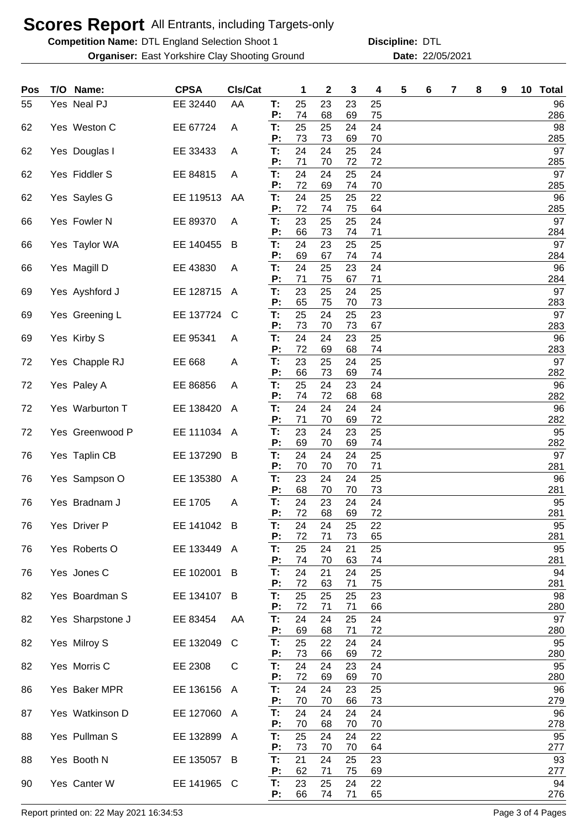**Competition Name: DTL England Selection Shoot 1 Competition Construction Shoot 1** Discipline: DTL

**Organiser:** East Yorkshire Clay Shooting Ground **22001 Date: 22/05/2021** 

**Discipline:**

| Pos | T/O Name:        | <b>CPSA</b> | Cls/Cat        |          | 1        | 2        | 3        | 4        | 5 | 6 | 7 | 8 | 9 | 10 Total  |
|-----|------------------|-------------|----------------|----------|----------|----------|----------|----------|---|---|---|---|---|-----------|
| 55  | Yes Neal PJ      | EE 32440    | AA             | T.<br>P: | 25<br>74 | 23<br>68 | 23<br>69 | 25<br>75 |   |   |   |   |   | 96<br>286 |
| 62  | Yes Weston C     | EE 67724    | A              | T:<br>P: | 25<br>73 | 25<br>73 | 24<br>69 | 24<br>70 |   |   |   |   |   | 98<br>285 |
| 62  | Yes Douglas I    | EE 33433    | A              | T:<br>P: | 24<br>71 | 24<br>70 | 25<br>72 | 24<br>72 |   |   |   |   |   | 97<br>285 |
| 62  | Yes Fiddler S    | EE 84815    | A              | T:<br>Ρ. | 24<br>72 | 24<br>69 | 25<br>74 | 24<br>70 |   |   |   |   |   | 97<br>285 |
| 62  | Yes Sayles G     | EE 119513   | AA             | T:<br>Ρ. | 24<br>72 | 25<br>74 | 25<br>75 | 22<br>64 |   |   |   |   |   | 96<br>285 |
| 66  | Yes Fowler N     | EE 89370    | A              | T:<br>Ρ. | 23<br>66 | 25<br>73 | 25<br>74 | 24<br>71 |   |   |   |   |   | 97<br>284 |
| 66  | Yes Taylor WA    | EE 140455   | B              | T:<br>Ρ: | 24<br>69 | 23<br>67 | 25<br>74 | 25<br>74 |   |   |   |   |   | 97<br>284 |
| 66  | Yes Magill D     | EE 43830    | A              | T:<br>Ρ. | 24<br>71 | 25<br>75 | 23<br>67 | 24<br>71 |   |   |   |   |   | 96<br>284 |
| 69  | Yes Ayshford J   | EE 128715   | A              | T:<br>Ρ: | 23<br>65 | 25<br>75 | 24<br>70 | 25<br>73 |   |   |   |   |   | 97<br>283 |
| 69  | Yes Greening L   | EE 137724   | C              | T:<br>P: | 25<br>73 | 24<br>70 | 25<br>73 | 23<br>67 |   |   |   |   |   | 97<br>283 |
| 69  | Yes Kirby S      | EE 95341    | A              | T:<br>Ρ: | 24<br>72 | 24<br>69 | 23<br>68 | 25<br>74 |   |   |   |   |   | 96<br>283 |
| 72  | Yes Chapple RJ   | EE 668      | A              | T:<br>Ρ: | 23<br>66 | 25<br>73 | 24<br>69 | 25<br>74 |   |   |   |   |   | 97<br>282 |
| 72  | Yes Paley A      | EE 86856    | A              | T:<br>Ρ: | 25<br>74 | 24<br>72 | 23<br>68 | 24<br>68 |   |   |   |   |   | 96<br>282 |
| 72  | Yes Warburton T  | EE 138420   | $\overline{A}$ | T:<br>P: | 24<br>71 | 24<br>70 | 24<br>69 | 24<br>72 |   |   |   |   |   | 96<br>282 |
| 72  | Yes Greenwood P  | EE 111034   | A              | T:<br>P: | 23<br>69 | 24<br>70 | 23<br>69 | 25<br>74 |   |   |   |   |   | 95<br>282 |
| 76  | Yes Taplin CB    | EE 137290   | B              | T:<br>P: | 24<br>70 | 24<br>70 | 24<br>70 | 25<br>71 |   |   |   |   |   | 97<br>281 |
| 76  | Yes Sampson O    | EE 135380   | A              | T:<br>P: | 23<br>68 | 24<br>70 | 24<br>70 | 25<br>73 |   |   |   |   |   | 96<br>281 |
| 76  | Yes Bradnam J    | EE 1705     | A              | T:<br>P: | 24<br>72 | 23<br>68 | 24<br>69 | 24<br>72 |   |   |   |   |   | 95<br>281 |
| 76  | Yes Driver P     | EE 141042 B |                | T:<br>Ρ: | 24<br>72 | 24<br>71 | 25<br>73 | 22<br>65 |   |   |   |   |   | 95<br>281 |
| 76  | Yes Roberts O    | EE 133449 A |                | T:<br>P: | 25<br>74 | 24<br>70 | 21<br>63 | 25<br>74 |   |   |   |   |   | 95<br>281 |
| 76  | Yes Jones C      | EE 102001   | B              | T:<br>P: | 24<br>72 | 21<br>63 | 24<br>71 | 25<br>75 |   |   |   |   |   | 94<br>281 |
| 82  | Yes Boardman S   | EE 134107   | B              | T:<br>P: | 25<br>72 | 25<br>71 | 25<br>71 | 23<br>66 |   |   |   |   |   | 98<br>280 |
| 82  | Yes Sharpstone J | EE 83454    | AA             | Т.<br>P: | 24<br>69 | 24<br>68 | 25<br>71 | 24<br>72 |   |   |   |   |   | 97<br>280 |
| 82  | Yes Milroy S     | EE 132049   | C              | T:<br>Ρ. | 25<br>73 | 22<br>66 | 24<br>69 | 24<br>72 |   |   |   |   |   | 95<br>280 |
| 82  | Yes Morris C     | EE 2308     | C              | T:<br>P: | 24<br>72 | 24<br>69 | 23<br>69 | 24<br>70 |   |   |   |   |   | 95<br>280 |
| 86  | Yes Baker MPR    | EE 136156   | A              | T:<br>P: | 24<br>70 | 24<br>70 | 23<br>66 | 25<br>73 |   |   |   |   |   | 96<br>279 |
| 87  | Yes Watkinson D  | EE 127060 A |                | T:       | 24<br>70 | 24<br>68 | 24<br>70 | 24       |   |   |   |   |   | 96<br>278 |
| 88  | Yes Pullman S    | EE 132899 A |                | P:<br>Т. | 25       | 24       | 24       | 70<br>22 |   |   |   |   |   | 95        |
| 88  | Yes Booth N      | EE 135057   | B              | P:<br>T: | 73<br>21 | 70<br>24 | 70<br>25 | 64<br>23 |   |   |   |   |   | 277<br>93 |
| 90  | Yes Canter W     | EE 141965 C |                | Ρ:<br>T: | 62<br>23 | 71<br>25 | 75<br>24 | 69<br>22 |   |   |   |   |   | 277<br>94 |
|     |                  |             |                | P:       | 66       | 74       | 71       | 65       |   |   |   |   |   | 276       |

Report printed on: 22 May 2021 16:34:53 Page 3 of 4 Pages